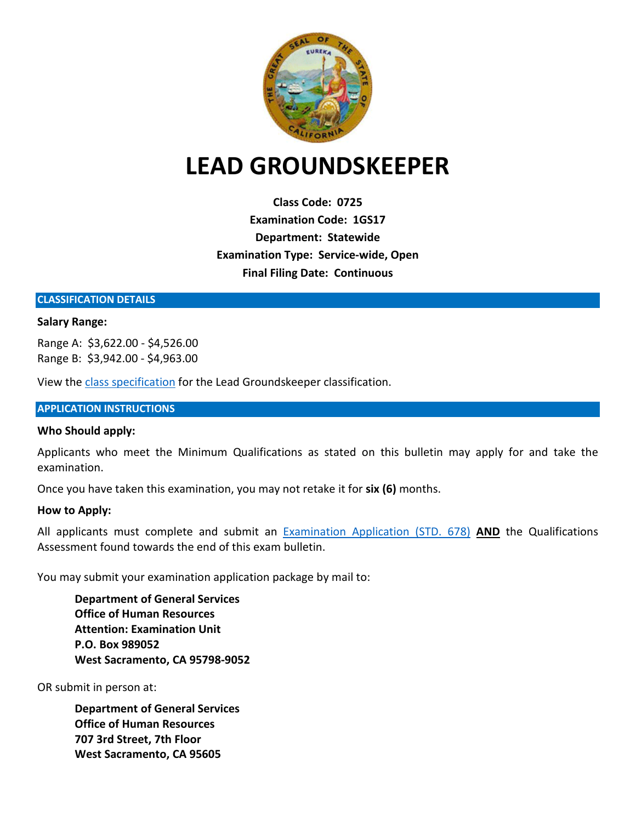

# **LEAD GROUNDSKEEPER**

**Class Code: 0725 Examination Code: 1GS17 Department: Statewide Examination Type: Service-wide, Open Final Filing Date: Continuous**

#### **CLASSIFICATION DETAILS**

#### **Salary Range:**

Range A:\$3,622.00 - \$4,526.00 Range B: \$3,942.00 - \$4,963.00

View the [class specification](https://www.calhr.ca.gov/state-hr-professionals/Pages/0725.aspx) for the Lead Groundskeeper classification.

#### **APPLICATION INSTRUCTIONS**

#### **Who Should apply:**

Applicants who meet the Minimum Qualifications as stated on this bulletin may apply for and take the examination.

Once you have taken this examination, you may not retake it for **six (6)** months.

#### **How to Apply:**

All applicants must complete and submit an [Examination Application \(STD. 678\)](https://jobs.ca.gov/pdf/STD678.pdf) **AND** the Qualifications Assessment found towards the end of this exam bulletin.

You may submit your examination application package by mail to:

**Department of General Services Office of Human Resources Attention: Examination Unit P.O. Box 989052 West Sacramento, CA 95798-9052**

OR submit in person at:

**Department of General Services Office of Human Resources 707 3rd Street, 7th Floor West Sacramento, CA 95605**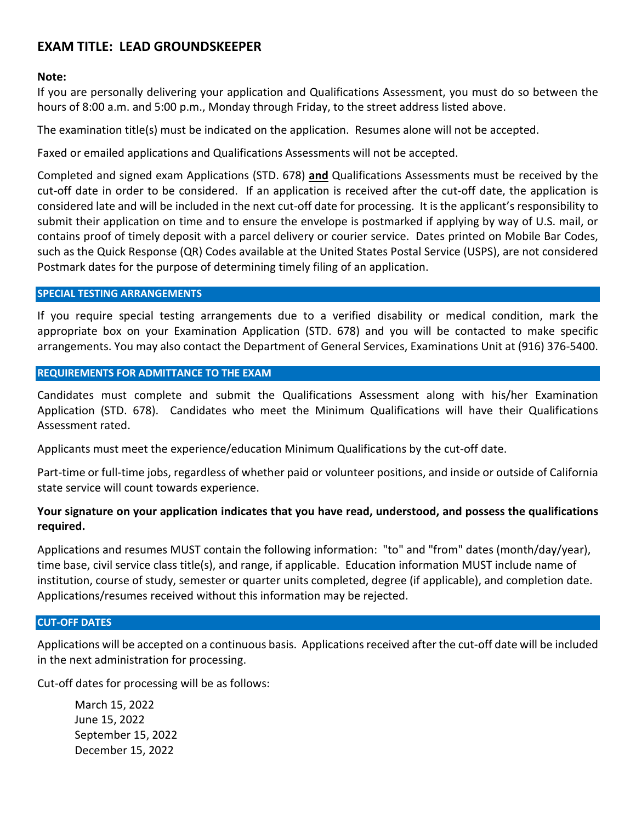#### **Note:**

If you are personally delivering your application and Qualifications Assessment, you must do so between the hours of 8:00 a.m. and 5:00 p.m., Monday through Friday, to the street address listed above.

The examination title(s) must be indicated on the application. Resumes alone will not be accepted.

Faxed or emailed applications and Qualifications Assessments will not be accepted.

Completed and signed exam Applications (STD. 678) **and** Qualifications Assessments must be received by the cut-off date in order to be considered. If an application is received after the cut-off date, the application is considered late and will be included in the next cut-off date for processing. It is the applicant's responsibility to submit their application on time and to ensure the envelope is postmarked if applying by way of U.S. mail, or contains proof of timely deposit with a parcel delivery or courier service. Dates printed on Mobile Bar Codes, such as the Quick Response (QR) Codes available at the United States Postal Service (USPS), are not considered Postmark dates for the purpose of determining timely filing of an application.

#### **SPECIAL TESTING ARRANGEMENTS**

If you require special testing arrangements due to a verified disability or medical condition, mark the appropriate box on your Examination Application (STD. 678) and you will be contacted to make specific arrangements. You may also contact the Department of General Services, Examinations Unit at (916) 376-5400.

#### **REQUIREMENTS FOR ADMITTANCE TO THE EXAM**

Candidates must complete and submit the Qualifications Assessment along with his/her Examination Application (STD. 678). Candidates who meet the Minimum Qualifications will have their Qualifications Assessment rated.

Applicants must meet the experience/education Minimum Qualifications by the cut-off date.

Part-time or full-time jobs, regardless of whether paid or volunteer positions, and inside or outside of California state service will count towards experience.

#### **Your signature on your application indicates that you have read, understood, and possess the qualifications required.**

Applications and resumes MUST contain the following information: "to" and "from" dates (month/day/year), time base, civil service class title(s), and range, if applicable. Education information MUST include name of institution, course of study, semester or quarter units completed, degree (if applicable), and completion date. Applications/resumes received without this information may be rejected.

#### **CUT-OFF DATES**

Applications will be accepted on a continuous basis. Applications received after the cut-off date will be included in the next administration for processing.

Cut-off dates for processing will be as follows:

March 15, 2022 June 15, 2022 September 15, 2022 December 15, 2022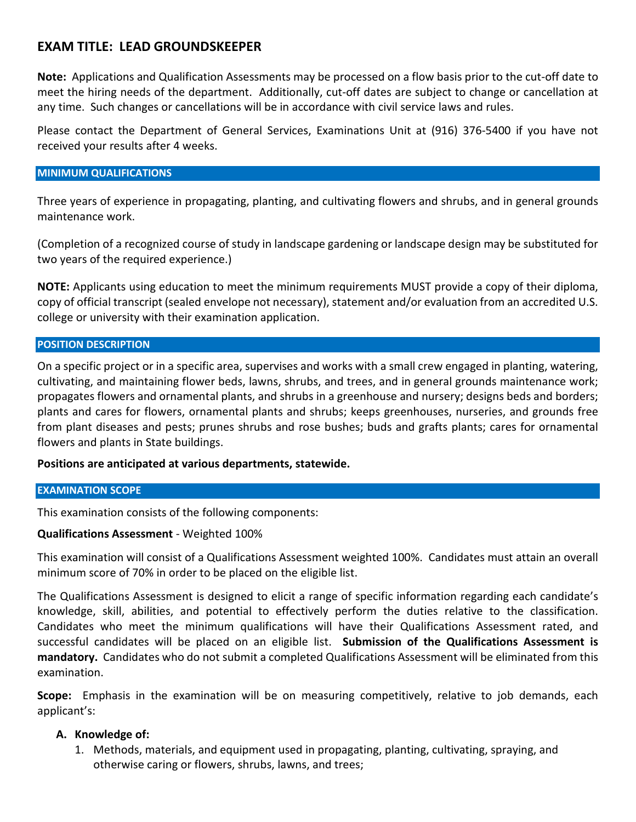**Note:** Applications and Qualification Assessments may be processed on a flow basis prior to the cut-off date to meet the hiring needs of the department. Additionally, cut-off dates are subject to change or cancellation at any time. Such changes or cancellations will be in accordance with civil service laws and rules.

Please contact the Department of General Services, Examinations Unit at (916) 376-5400 if you have not received your results after 4 weeks.

#### **MINIMUM QUALIFICATIONS**

Three years of experience in propagating, planting, and cultivating flowers and shrubs, and in general grounds maintenance work.

(Completion of a recognized course of study in landscape gardening or landscape design may be substituted for two years of the required experience.)

**NOTE:** Applicants using education to meet the minimum requirements MUST provide a copy of their diploma, copy of official transcript (sealed envelope not necessary), statement and/or evaluation from an accredited U.S. college or university with their examination application.

#### **POSITION DESCRIPTION**

On a specific project or in a specific area, supervises and works with a small crew engaged in planting, watering, cultivating, and maintaining flower beds, lawns, shrubs, and trees, and in general grounds maintenance work; propagates flowers and ornamental plants, and shrubs in a greenhouse and nursery; designs beds and borders; plants and cares for flowers, ornamental plants and shrubs; keeps greenhouses, nurseries, and grounds free from plant diseases and pests; prunes shrubs and rose bushes; buds and grafts plants; cares for ornamental flowers and plants in State buildings.

**Positions are anticipated at various departments, statewide.**

#### **EXAMINATION SCOPE**

This examination consists of the following components:

#### **Qualifications Assessment** - Weighted 100%

This examination will consist of a Qualifications Assessment weighted 100%. Candidates must attain an overall minimum score of 70% in order to be placed on the eligible list.

The Qualifications Assessment is designed to elicit a range of specific information regarding each candidate's knowledge, skill, abilities, and potential to effectively perform the duties relative to the classification. Candidates who meet the minimum qualifications will have their Qualifications Assessment rated, and successful candidates will be placed on an eligible list. **Submission of the Qualifications Assessment is mandatory.** Candidates who do not submit a completed Qualifications Assessment will be eliminated from this examination.

**Scope:** Emphasis in the examination will be on measuring competitively, relative to job demands, each applicant's:

#### **A. Knowledge of:**

1. Methods, materials, and equipment used in propagating, planting, cultivating, spraying, and otherwise caring or flowers, shrubs, lawns, and trees;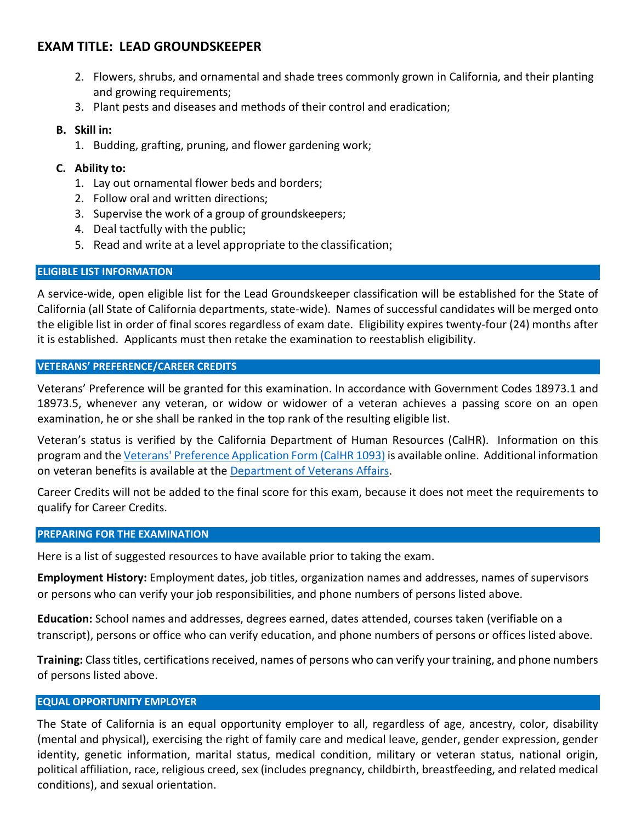- 2. Flowers, shrubs, and ornamental and shade trees commonly grown in California, and their planting and growing requirements;
- 3. Plant pests and diseases and methods of their control and eradication;

#### **B. Skill in:**

1. Budding, grafting, pruning, and flower gardening work;

## **C. Ability to:**

- 1. Lay out ornamental flower beds and borders;
- 2. Follow oral and written directions;
- 3. Supervise the work of a group of groundskeepers;
- 4. Deal tactfully with the public;
- 5. Read and write at a level appropriate to the classification;

#### **ELIGIBLE LIST INFORMATION**

A service-wide, open eligible list for the Lead Groundskeeper classification will be established for the State of California (all State of California departments, state-wide). Names of successful candidates will be merged onto the eligible list in order of final scores regardless of exam date. Eligibility expires twenty-four (24) months after it is established. Applicants must then retake the examination to reestablish eligibility.

#### **VETERANS' PREFERENCE/CAREER CREDITS**

Veterans' Preference will be granted for this examination. In accordance with Government Codes 18973.1 and 18973.5, whenever any veteran, or widow or widower of a veteran achieves a passing score on an open examination, he or she shall be ranked in the top rank of the resulting eligible list.

Veteran's status is verified by the California Department of Human Resources (CalHR). Information on this program and the [Veterans' Preference Application Form \(CalHR 1093\)](https://www.jobs.ca.gov/CalHRPublic/Landing/Jobs/VeteransInformation.aspx) is available online. Additional information on veteran benefits is available at the [Department of Veterans Affairs.](https://www.va.gov/)

Career Credits will not be added to the final score for this exam, because it does not meet the requirements to qualify for Career Credits.

#### **PREPARING FOR THE EXAMINATION**

Here is a list of suggested resources to have available prior to taking the exam.

**Employment History:** Employment dates, job titles, organization names and addresses, names of supervisors or persons who can verify your job responsibilities, and phone numbers of persons listed above.

**Education:** School names and addresses, degrees earned, dates attended, courses taken (verifiable on a transcript), persons or office who can verify education, and phone numbers of persons or offices listed above.

**Training:** Class titles, certifications received, names of persons who can verify your training, and phone numbers of persons listed above.

#### **EQUAL OPPORTUNITY EMPLOYER**

The State of California is an equal opportunity employer to all, regardless of age, ancestry, color, disability (mental and physical), exercising the right of family care and medical leave, gender, gender expression, gender identity, genetic information, marital status, medical condition, military or veteran status, national origin, political affiliation, race, religious creed, sex (includes pregnancy, childbirth, breastfeeding, and related medical conditions), and sexual orientation.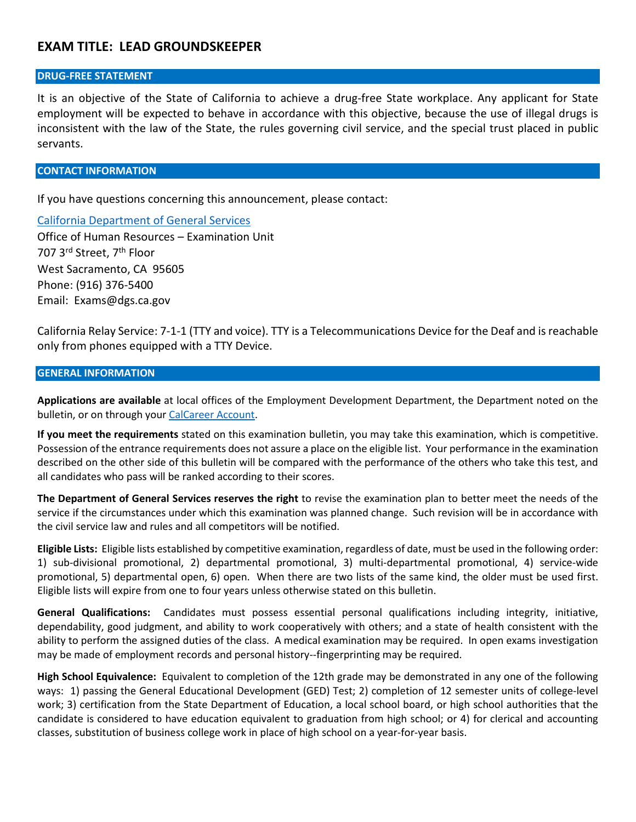#### **DRUG-FREE STATEMENT**

It is an objective of the State of California to achieve a drug-free State workplace. Any applicant for State employment will be expected to behave in accordance with this objective, because the use of illegal drugs is inconsistent with the law of the State, the rules governing civil service, and the special trust placed in public servants.

#### **CONTACT INFORMATION**

If you have questions concerning this announcement, please contact:

[California Department of General Services](https://www.dgs.ca.gov/) Office of Human Resources – Examination Unit 707 3<sup>rd</sup> Street, 7<sup>th</sup> Floor West Sacramento, CA 95605 Phone: (916) 376-5400 Email: Exams@dgs.ca.gov

California Relay Service: 7-1-1 (TTY and voice). TTY is a Telecommunications Device for the Deaf and is reachable only from phones equipped with a TTY Device.

#### **GENERAL INFORMATION**

**Applications are available** at local offices of the Employment Development Department, the Department noted on the bulletin, or on through you[r CalCareer Account.](https://www.calcareers.ca.gov/)

**If you meet the requirements** stated on this examination bulletin, you may take this examination, which is competitive. Possession of the entrance requirements does not assure a place on the eligible list. Your performance in the examination described on the other side of this bulletin will be compared with the performance of the others who take this test, and all candidates who pass will be ranked according to their scores.

**The Department of General Services reserves the right** to revise the examination plan to better meet the needs of the service if the circumstances under which this examination was planned change. Such revision will be in accordance with the civil service law and rules and all competitors will be notified.

**Eligible Lists:** Eligible lists established by competitive examination, regardless of date, must be used in the following order: 1) sub-divisional promotional, 2) departmental promotional, 3) multi-departmental promotional, 4) service-wide promotional, 5) departmental open, 6) open. When there are two lists of the same kind, the older must be used first. Eligible lists will expire from one to four years unless otherwise stated on this bulletin.

**General Qualifications:** Candidates must possess essential personal qualifications including integrity, initiative, dependability, good judgment, and ability to work cooperatively with others; and a state of health consistent with the ability to perform the assigned duties of the class. A medical examination may be required. In open exams investigation may be made of employment records and personal history--fingerprinting may be required.

**High School Equivalence:** Equivalent to completion of the 12th grade may be demonstrated in any one of the following ways: 1) passing the General Educational Development (GED) Test; 2) completion of 12 semester units of college-level work; 3) certification from the State Department of Education, a local school board, or high school authorities that the candidate is considered to have education equivalent to graduation from high school; or 4) for clerical and accounting classes, substitution of business college work in place of high school on a year-for-year basis.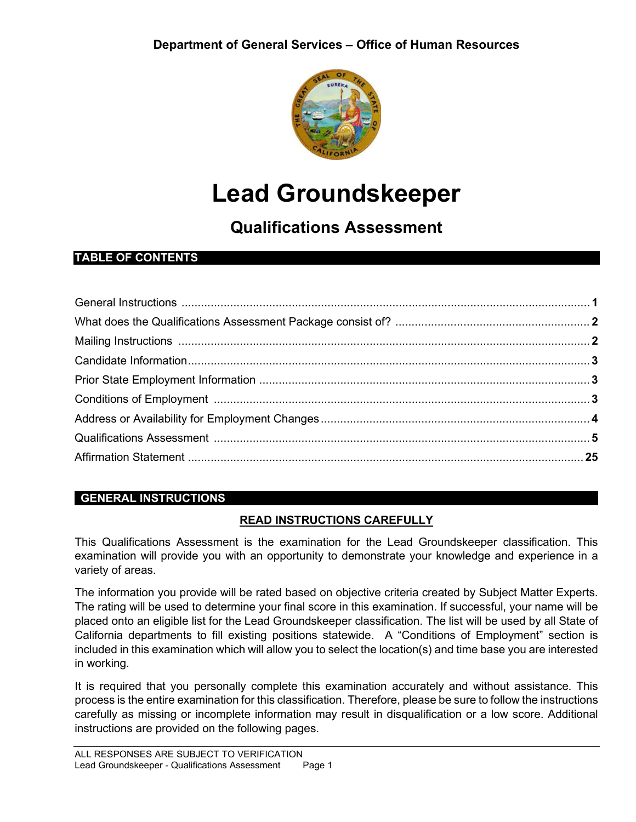

# **Lead Groundskeeper**

# **Qualifications Assessment**

# **TABLE OF CONTENTS**

# **GENERAL INSTRUCTIONS**

# **READ INSTRUCTIONS CAREFULLY**

This Qualifications Assessment is the examination for the Lead Groundskeeper classification. This examination will provide you with an opportunity to demonstrate your knowledge and experience in a variety of areas.

The information you provide will be rated based on objective criteria created by Subject Matter Experts. The rating will be used to determine your final score in this examination. If successful, your name will be placed onto an eligible list for the Lead Groundskeeper classification. The list will be used by all State of California departments to fill existing positions statewide. A "Conditions of Employment" section is included in this examination which will allow you to select the location(s) and time base you are interested in working.

It is required that you personally complete this examination accurately and without assistance. This process is the entire examination for this classification. Therefore, please be sure to follow the instructions carefully as missing or incomplete information may result in disqualification or a low score. Additional instructions are provided on the following pages.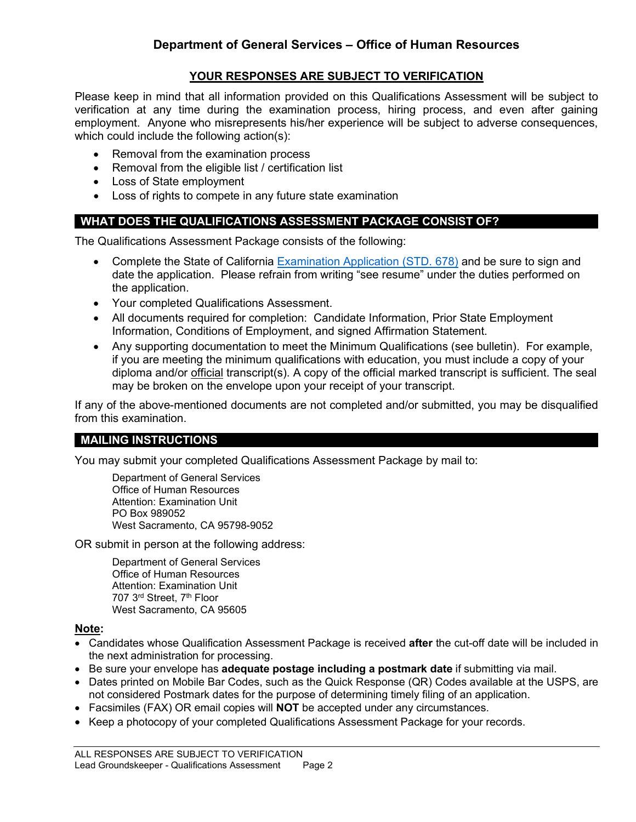#### **YOUR RESPONSES ARE SUBJECT TO VERIFICATION**

Please keep in mind that all information provided on this Qualifications Assessment will be subject to verification at any time during the examination process, hiring process, and even after gaining employment. Anyone who misrepresents his/her experience will be subject to adverse consequences, which could include the following action(s):

- Removal from the examination process
- Removal from the eligible list / certification list
- Loss of State employment
- Loss of rights to compete in any future state examination

#### **WHAT DOES THE QUALIFICATIONS ASSESSMENT PACKAGE CONSIST OF?**

The Qualifications Assessment Package consists of the following:

- Complete the State of California Examination Application (STD, 678) and be sure to sign and date the application. Please refrain from writing "see resume" under the duties performed on the application.
- Your completed Qualifications Assessment.
- All documents required for completion: Candidate Information, Prior State Employment Information, Conditions of Employment, and signed Affirmation Statement.
- Any supporting documentation to meet the Minimum Qualifications (see bulletin). For example, if you are meeting the minimum qualifications with education, you must include a copy of your diploma and/or official transcript(s). A copy of the official marked transcript is sufficient. The seal may be broken on the envelope upon your receipt of your transcript.

If any of the above-mentioned documents are not completed and/or submitted, you may be disqualified from this examination.

#### **MAILING INSTRUCTIONS**

You may submit your completed Qualifications Assessment Package by mail to:

Department of General Services Office of Human Resources Attention: Examination Unit PO Box 989052 West Sacramento, CA 95798-9052

OR submit in person at the following address:

Department of General Services Office of Human Resources Attention: Examination Unit 707 3rd Street, 7th Floor West Sacramento, CA 95605

#### **Note:**

- Candidates whose Qualification Assessment Package is received **after** the cut-off date will be included in the next administration for processing.
- Be sure your envelope has **adequate postage including a postmark date** if submitting via mail.
- Dates printed on Mobile Bar Codes, such as the Quick Response (QR) Codes available at the USPS, are not considered Postmark dates for the purpose of determining timely filing of an application.
- Facsimiles (FAX) OR email copies will **NOT** be accepted under any circumstances.
- Keep a photocopy of your completed Qualifications Assessment Package for your records.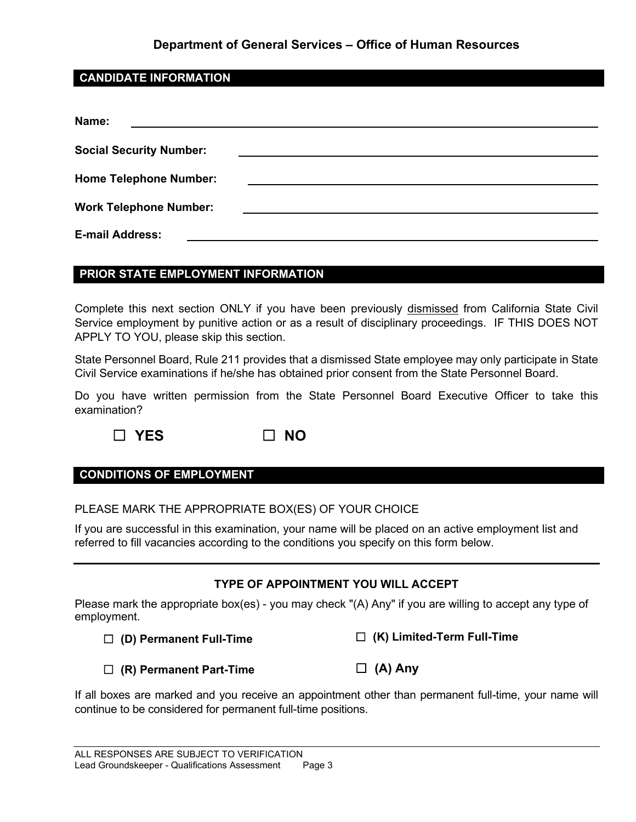### **Department of General Services – Office of Human Resources**

#### **CANDIDATE INFORMATION**

| Name:                          |  |
|--------------------------------|--|
| <b>Social Security Number:</b> |  |
| <b>Home Telephone Number:</b>  |  |
| <b>Work Telephone Number:</b>  |  |
| <b>E-mail Address:</b>         |  |

#### **PRIOR STATE EMPLOYMENT INFORMATION**

Complete this next section ONLY if you have been previously dismissed from California State Civil Service employment by punitive action or as a result of disciplinary proceedings. IF THIS DOES NOT APPLY TO YOU, please skip this section.

State Personnel Board, Rule 211 provides that a dismissed State employee may only participate in State Civil Service examinations if he/she has obtained prior consent from the State Personnel Board.

Do you have written permission from the State Personnel Board Executive Officer to take this examination?

☐ **YES** ☐ **NO**



# **CONDITIONS OF EMPLOYMENT**

PLEASE MARK THE APPROPRIATE BOX(ES) OF YOUR CHOICE

If you are successful in this examination, your name will be placed on an active employment list and referred to fill vacancies according to the conditions you specify on this form below.

#### **TYPE OF APPOINTMENT YOU WILL ACCEPT**

Please mark the appropriate box(es) - you may check "(A) Any" if you are willing to accept any type of employment.

☐ **(D) Permanent Full-Time**

☐ **(K) Limited-Term Full-Time**

☐ **(R) Permanent Part-Time**

☐ **(A) Any**

If all boxes are marked and you receive an appointment other than permanent full-time, your name will continue to be considered for permanent full-time positions.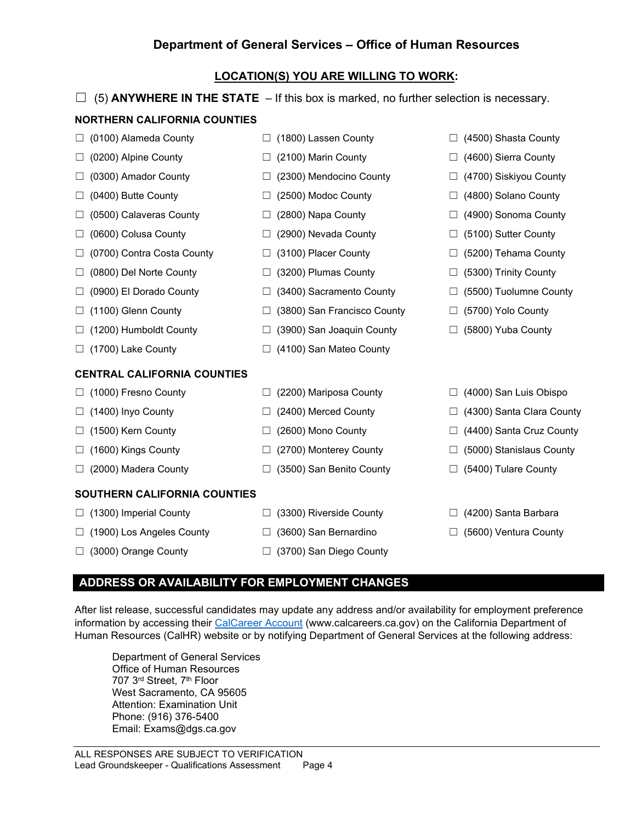### **Department of General Services – Office of Human Resources**

#### **LOCATION(S) YOU ARE WILLING TO WORK:**

|                                     | (5) ANYWHERE IN THE STATE - If this box is marked, no further selection is necessary. |                                    |
|-------------------------------------|---------------------------------------------------------------------------------------|------------------------------------|
| <b>NORTHERN CALIFORNIA COUNTIES</b> |                                                                                       |                                    |
| (0100) Alameda County               | (1800) Lassen County<br>$\Box$                                                        | (4500) Shasta County               |
| (0200) Alpine County                | (2100) Marin County<br>⊔                                                              | (4600) Sierra County               |
| (0300) Amador County                | (2300) Mendocino County<br>⊔                                                          | (4700) Siskiyou County             |
| (0400) Butte County                 | (2500) Modoc County<br>⊔                                                              | (4800) Solano County               |
| (0500) Calaveras County             | (2800) Napa County<br>⊔                                                               | (4900) Sonoma County               |
| (0600) Colusa County                | (2900) Nevada County<br>⊔                                                             | (5100) Sutter County<br>⊔          |
| (0700) Contra Costa County          | (3100) Placer County<br>⊔                                                             | (5200) Tehama County               |
| (0800) Del Norte County             | (3200) Plumas County<br>$\Box$                                                        | (5300) Trinity County              |
| (0900) El Dorado County             | (3400) Sacramento County<br>⊔                                                         | (5500) Tuolumne County             |
| (1100) Glenn County                 | (3800) San Francisco County<br>⊔                                                      | (5700) Yolo County<br>⊔            |
| (1200) Humboldt County              | (3900) San Joaquin County<br>⊔                                                        | (5800) Yuba County                 |
| (1700) Lake County                  | (4100) San Mateo County                                                               |                                    |
| <b>CENTRAL CALIFORNIA COUNTIES</b>  |                                                                                       |                                    |
| (1000) Fresno County                | (2200) Mariposa County<br>ш                                                           | (4000) San Luis Obispo             |
| (1400) Inyo County                  | (2400) Merced County<br>$\Box$                                                        | (4300) Santa Clara County          |
| (1500) Kern County                  | (2600) Mono County<br>$\Box$                                                          | (4400) Santa Cruz County<br>$\Box$ |
| (1600) Kings County<br>ப            | (2700) Monterey County<br>⊔                                                           | (5000) Stanislaus County           |
| (2000) Madera County                | (3500) San Benito County<br>⊔                                                         | (5400) Tulare County               |
| SOUTHERN CALIFORNIA COUNTIES        |                                                                                       |                                    |
| (1300) Imperial County              | (3300) Riverside County<br>$\Box$                                                     | (4200) Santa Barbara               |
| (1900) Los Angeles County           | (3600) San Bernardino<br>⊔                                                            | (5600) Ventura County              |
| (3000) Orange County                | (3700) San Diego County<br>⊔                                                          |                                    |

#### **ADDRESS OR AVAILABILITY FOR EMPLOYMENT CHANGES**

After list release, successful candidates may update any address and/or availability for employment preference information by accessing their [CalCareer Account](https://www.jobs.ca.gov/) (www.calcareers.ca.gov) on the California Department of Human Resources (CalHR) website or by notifying Department of General Services at the following address:

Department of General Services Office of Human Resources 707 3rd Street, 7th Floor West Sacramento, CA 95605 Attention: Examination Unit Phone: (916) 376-5400 Email: Exams@dgs.ca.gov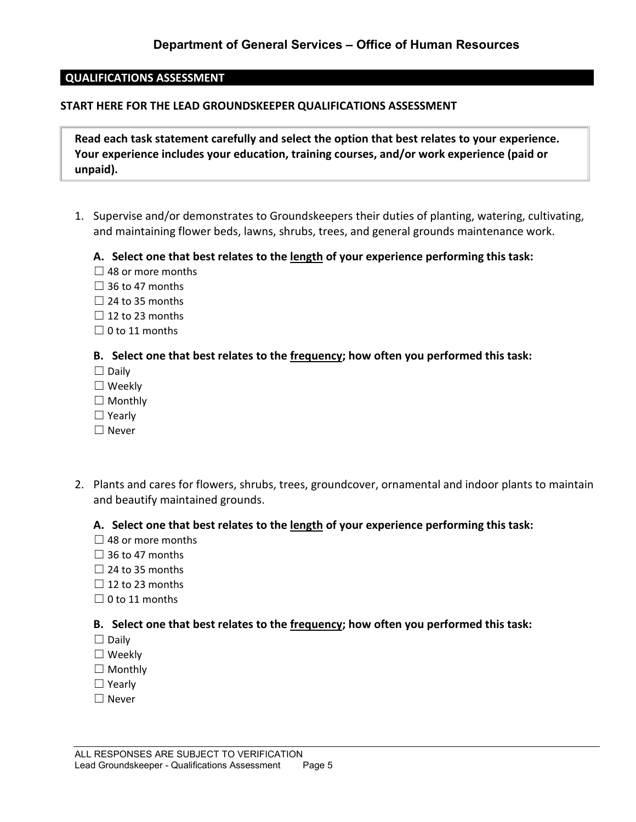#### **QUALIFICATIONS ASSESSMENT**

#### **START HERE FOR THE LEAD GROUNDSKEEPER QUALIFICATIONS ASSESSMENT**

**Read each task statement carefully and select the option that best relates to your experience. Your experience includes your education, training courses, and/or work experience (paid or unpaid).**

1. Supervise and/or demonstrates to Groundskeepers their duties of planting, watering, cultivating, and maintaining flower beds, lawns, shrubs, trees, and general grounds maintenance work.

#### **A. Select one that best relates to the length of your experience performing this task:**

- $\Box$  48 or more months
- $\Box$  36 to 47 months
- $\Box$  24 to 35 months
- $\Box$  12 to 23 months
- $\Box$  0 to 11 months

#### **B. Select one that best relates to the frequency; how often you performed this task:**

- ☐ Daily
- ☐ Weekly
- $\Box$  Monthly
- ☐ Yearly
- ☐ Never
- 2. Plants and cares for flowers, shrubs, trees, groundcover, ornamental and indoor plants to maintain and beautify maintained grounds.

#### **A. Select one that best relates to the length of your experience performing this task:**

- $\Box$  48 or more months
- $\Box$  36 to 47 months
- $\Box$  24 to 35 months
- $\Box$  12 to 23 months
- $\Box$  0 to 11 months

- ☐ Daily
- ☐ Weekly
- $\Box$  Monthly
- ☐ Yearly
- ☐ Never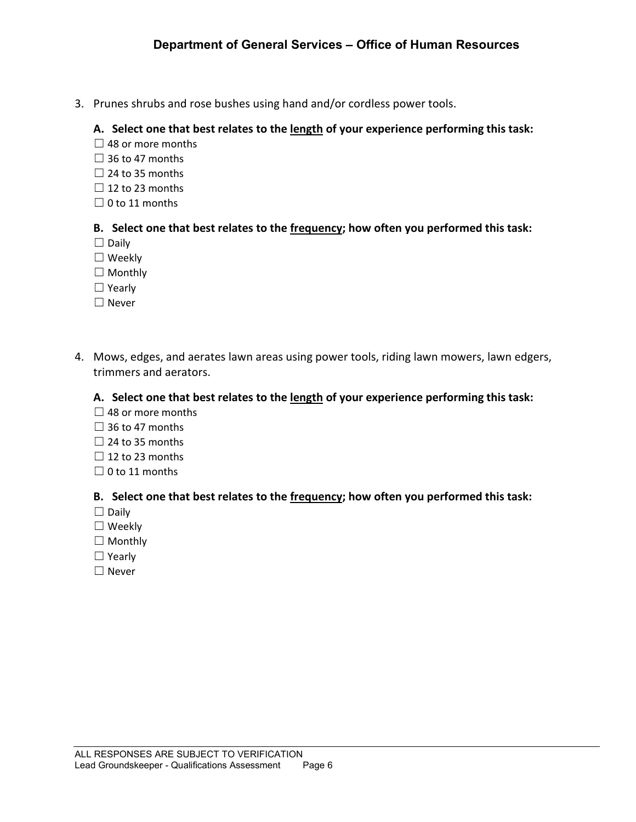3. Prunes shrubs and rose bushes using hand and/or cordless power tools.

#### **A. Select one that best relates to the length of your experience performing this task:**

- $\Box$  48 or more months
- $\Box$  36 to 47 months
- $\Box$  24 to 35 months
- $\Box$  12 to 23 months
- $\Box$  0 to 11 months

#### **B. Select one that best relates to the frequency; how often you performed this task:**

- ☐ Daily
- ☐ Weekly
- ☐ Monthly
- ☐ Yearly
- ☐ Never
- 4. Mows, edges, and aerates lawn areas using power tools, riding lawn mowers, lawn edgers, trimmers and aerators.

#### **A. Select one that best relates to the length of your experience performing this task:**

- $\Box$  48 or more months
- $\Box$  36 to 47 months
- $\Box$  24 to 35 months
- $\Box$  12 to 23 months
- $\Box$  0 to 11 months

- ☐ Daily
- ☐ Weekly
- □ Monthly
- ☐ Yearly
- ☐ Never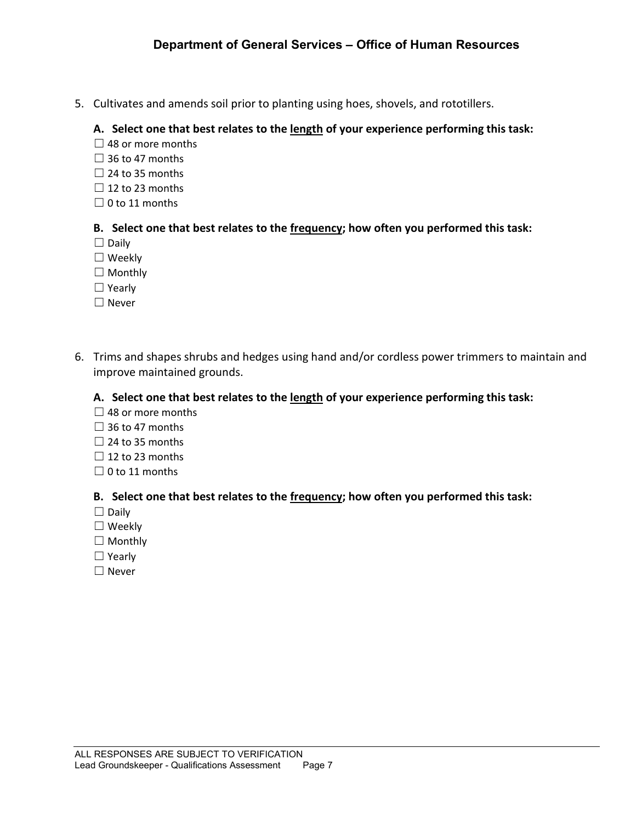5. Cultivates and amends soil prior to planting using hoes, shovels, and rototillers.

#### **A. Select one that best relates to the length of your experience performing this task:**

- $\Box$  48 or more months
- $\Box$  36 to 47 months
- $\Box$  24 to 35 months
- $\Box$  12 to 23 months
- $\Box$  0 to 11 months

#### **B. Select one that best relates to the frequency; how often you performed this task:**

- ☐ Daily
- ☐ Weekly
- ☐ Monthly
- ☐ Yearly
- ☐ Never
- 6. Trims and shapes shrubs and hedges using hand and/or cordless power trimmers to maintain and improve maintained grounds.

#### **A. Select one that best relates to the length of your experience performing this task:**

- $\Box$  48 or more months
- $\Box$  36 to 47 months
- $\Box$  24 to 35 months
- $\Box$  12 to 23 months
- $\Box$  0 to 11 months

- ☐ Daily
- ☐ Weekly
- ☐ Monthly
- ☐ Yearly
- ☐ Never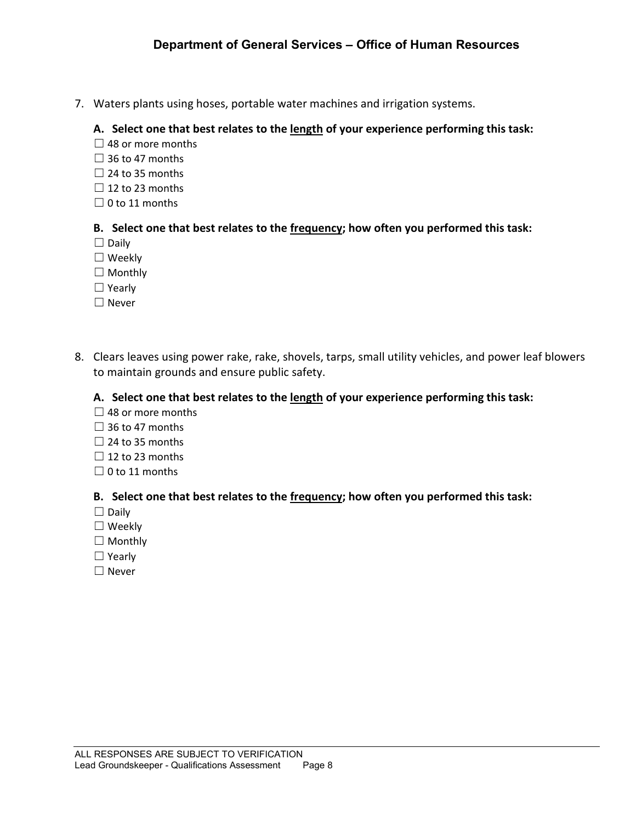7. Waters plants using hoses, portable water machines and irrigation systems.

#### **A. Select one that best relates to the length of your experience performing this task:**

- $\Box$  48 or more months
- $\Box$  36 to 47 months
- $\Box$  24 to 35 months
- $\Box$  12 to 23 months
- $\Box$  0 to 11 months

#### **B. Select one that best relates to the frequency; how often you performed this task:**

- ☐ Daily
- ☐ Weekly
- ☐ Monthly
- ☐ Yearly
- ☐ Never
- 8. Clears leaves using power rake, rake, shovels, tarps, small utility vehicles, and power leaf blowers to maintain grounds and ensure public safety.

#### **A. Select one that best relates to the length of your experience performing this task:**

- $\Box$  48 or more months
- $\Box$  36 to 47 months
- $\Box$  24 to 35 months
- $\Box$  12 to 23 months
- $\Box$  0 to 11 months

- ☐ Daily
- ☐ Weekly
- □ Monthly
- ☐ Yearly
- ☐ Never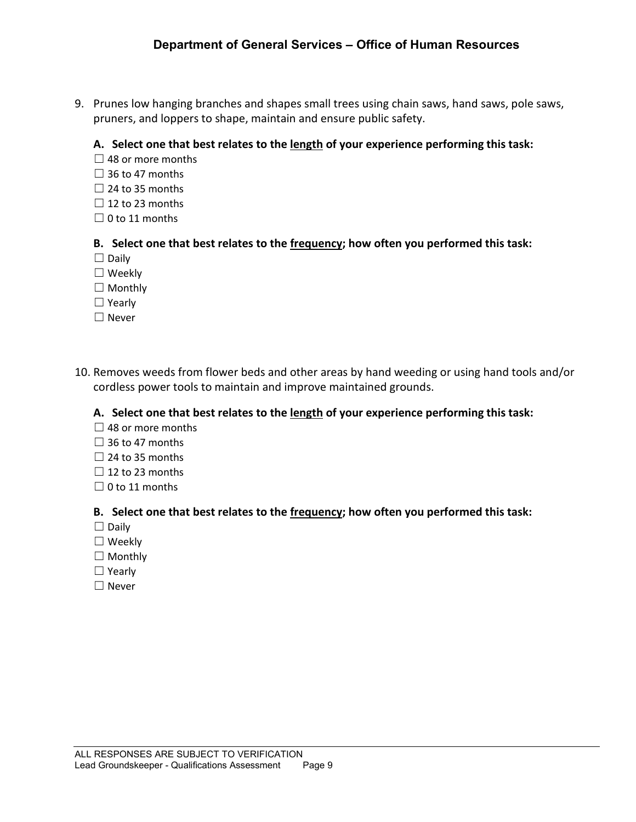9. Prunes low hanging branches and shapes small trees using chain saws, hand saws, pole saws, pruners, and loppers to shape, maintain and ensure public safety.

#### **A. Select one that best relates to the length of your experience performing this task:**

- $\Box$  48 or more months
- $\Box$  36 to 47 months
- $\Box$  24 to 35 months
- $\Box$  12 to 23 months
- $\Box$  0 to 11 months

#### **B. Select one that best relates to the frequency; how often you performed this task:**

- ☐ Daily
- ☐ Weekly
- □ Monthly
- ☐ Yearly
- ☐ Never
- 10. Removes weeds from flower beds and other areas by hand weeding or using hand tools and/or cordless power tools to maintain and improve maintained grounds.

#### **A. Select one that best relates to the length of your experience performing this task:**

- $\Box$  48 or more months
- $\Box$  36 to 47 months
- $\Box$  24 to 35 months
- $\Box$  12 to 23 months
- $\Box$  0 to 11 months

- ☐ Daily
- ☐ Weekly
- □ Monthly
- ☐ Yearly
- ☐ Never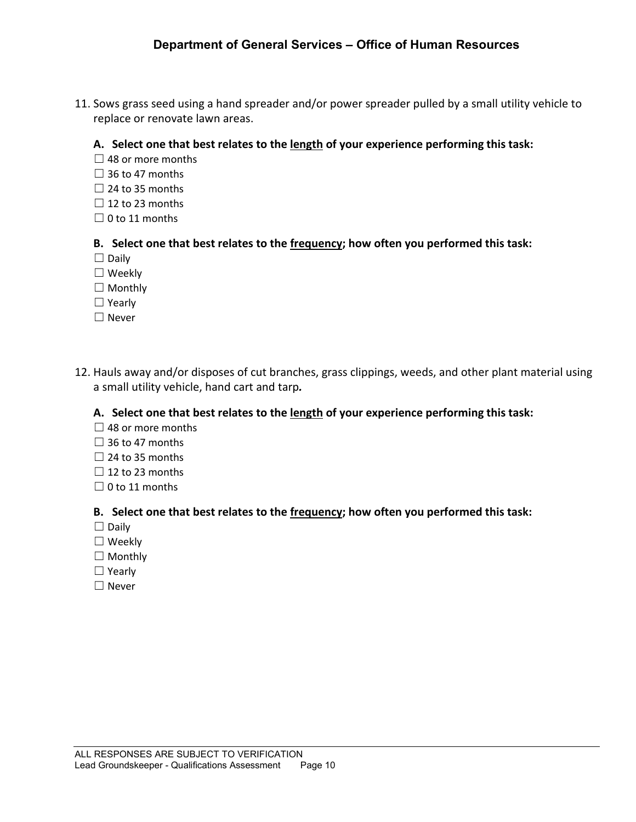11. Sows grass seed using a hand spreader and/or power spreader pulled by a small utility vehicle to replace or renovate lawn areas.

#### **A. Select one that best relates to the length of your experience performing this task:**

- $\Box$  48 or more months
- $\Box$  36 to 47 months
- $\Box$  24 to 35 months
- $\Box$  12 to 23 months
- $\Box$  0 to 11 months

#### **B. Select one that best relates to the frequency; how often you performed this task:**

- ☐ Daily
- ☐ Weekly
- □ Monthly
- ☐ Yearly
- ☐ Never
- 12. Hauls away and/or disposes of cut branches, grass clippings, weeds, and other plant material using a small utility vehicle, hand cart and tarp*.*

#### **A. Select one that best relates to the length of your experience performing this task:**

- $\Box$  48 or more months
- $\Box$  36 to 47 months
- $\Box$  24 to 35 months
- $\Box$  12 to 23 months
- $\Box$  0 to 11 months

- ☐ Daily
- ☐ Weekly
- □ Monthly
- ☐ Yearly
- ☐ Never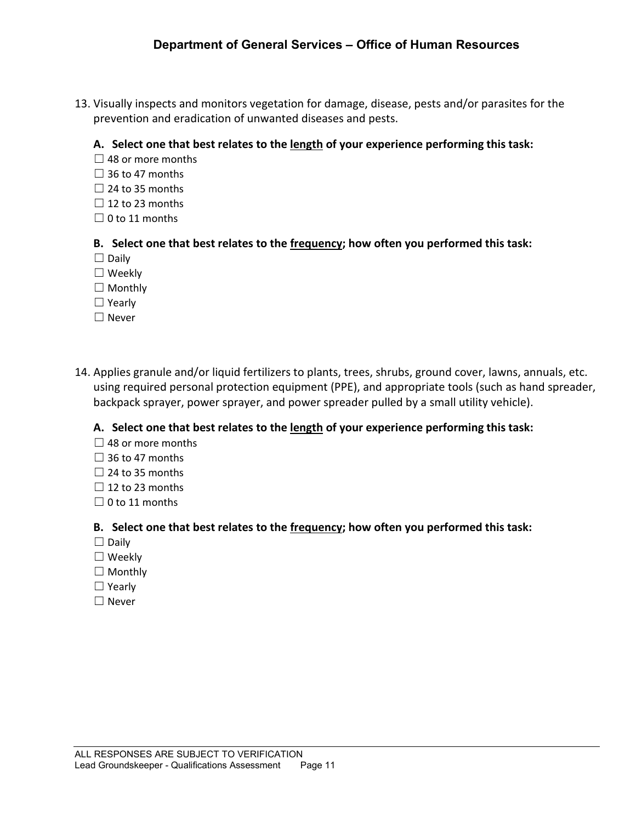13. Visually inspects and monitors vegetation for damage, disease, pests and/or parasites for the prevention and eradication of unwanted diseases and pests.

#### **A. Select one that best relates to the length of your experience performing this task:**

- $\Box$  48 or more months
- $\Box$  36 to 47 months
- $\Box$  24 to 35 months
- $\Box$  12 to 23 months
- $\Box$  0 to 11 months

#### **B. Select one that best relates to the frequency; how often you performed this task:**

- $\Box$  Daily
- ☐ Weekly
- □ Monthly
- ☐ Yearly
- ☐ Never
- 14. Applies granule and/or liquid fertilizers to plants, trees, shrubs, ground cover, lawns, annuals, etc. using required personal protection equipment (PPE), and appropriate tools (such as hand spreader, backpack sprayer, power sprayer, and power spreader pulled by a small utility vehicle).

#### **A. Select one that best relates to the length of your experience performing this task:**

- $\Box$  48 or more months
- $\Box$  36 to 47 months
- $\Box$  24 to 35 months
- $\Box$  12 to 23 months
- $\Box$  0 to 11 months

- $\Box$  Daily
- ☐ Weekly
- $\Box$  Monthly
- ☐ Yearly
- ☐ Never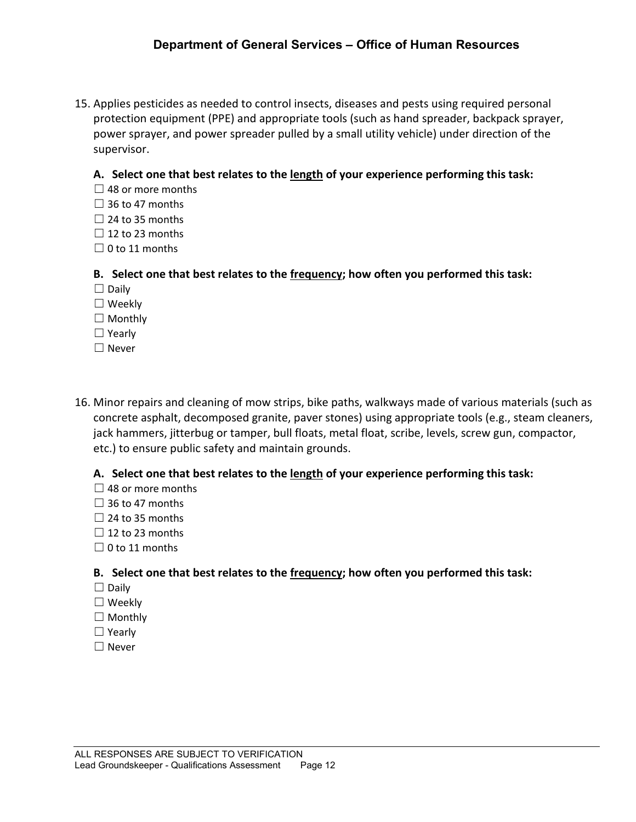15. Applies pesticides as needed to control insects, diseases and pests using required personal protection equipment (PPE) and appropriate tools (such as hand spreader, backpack sprayer, power sprayer, and power spreader pulled by a small utility vehicle) under direction of the supervisor.

#### **A. Select one that best relates to the length of your experience performing this task:**

- $\Box$  48 or more months
- $\Box$  36 to 47 months
- $\Box$  24 to 35 months
- $\Box$  12 to 23 months
- $\Box$  0 to 11 months

#### **B. Select one that best relates to the frequency; how often you performed this task:**

- ☐ Daily
- ☐ Weekly
- □ Monthly
- ☐ Yearly
- ☐ Never
- 16. Minor repairs and cleaning of mow strips, bike paths, walkways made of various materials (such as concrete asphalt, decomposed granite, paver stones) using appropriate tools (e.g., steam cleaners, jack hammers, jitterbug or tamper, bull floats, metal float, scribe, levels, screw gun, compactor, etc.) to ensure public safety and maintain grounds.

#### **A. Select one that best relates to the length of your experience performing this task:**

- $\Box$  48 or more months
- $\Box$  36 to 47 months
- $\Box$  24 to 35 months
- $\Box$  12 to 23 months
- $\Box$  0 to 11 months

- ☐ Daily
- ☐ Weekly
- □ Monthly
- ☐ Yearly
- ☐ Never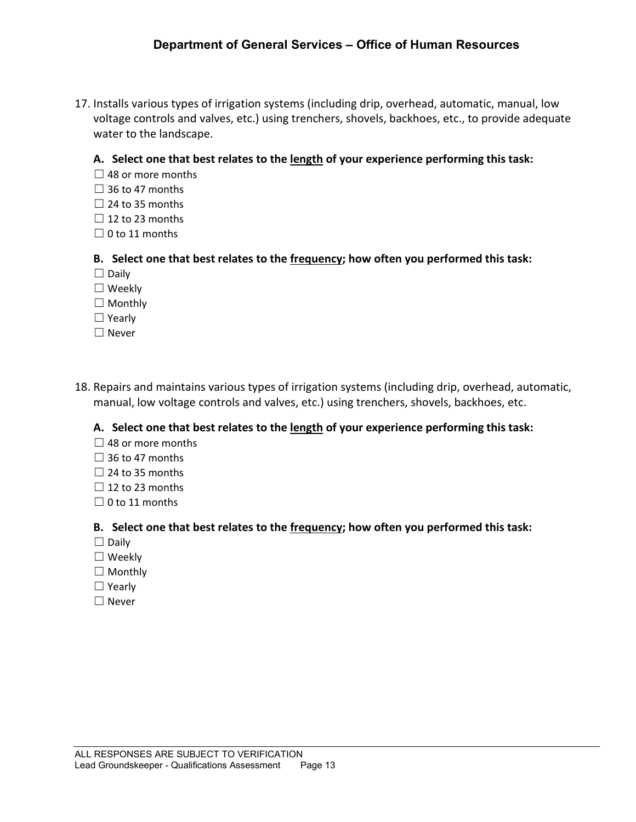17. Installs various types of irrigation systems (including drip, overhead, automatic, manual, low voltage controls and valves, etc.) using trenchers, shovels, backhoes, etc., to provide adequate water to the landscape.

#### **A. Select one that best relates to the length of your experience performing this task:**

- $\Box$  48 or more months
- $\Box$  36 to 47 months
- $\Box$  24 to 35 months
- $\Box$  12 to 23 months
- $\Box$  0 to 11 months

#### **B. Select one that best relates to the frequency; how often you performed this task:**

- $\Box$  Daily
- ☐ Weekly
- $\Box$  Monthly
- ☐ Yearly
- ☐ Never
- 18. Repairs and maintains various types of irrigation systems (including drip, overhead, automatic, manual, low voltage controls and valves, etc.) using trenchers, shovels, backhoes, etc.

**A. Select one that best relates to the length of your experience performing this task:**

- $\Box$  48 or more months
- $\Box$  36 to 47 months
- $\Box$  24 to 35 months
- $\Box$  12 to 23 months
- $\Box$  0 to 11 months

- $\Box$  Daily
- ☐ Weekly
- $\Box$  Monthly
- ☐ Yearly
- ☐ Never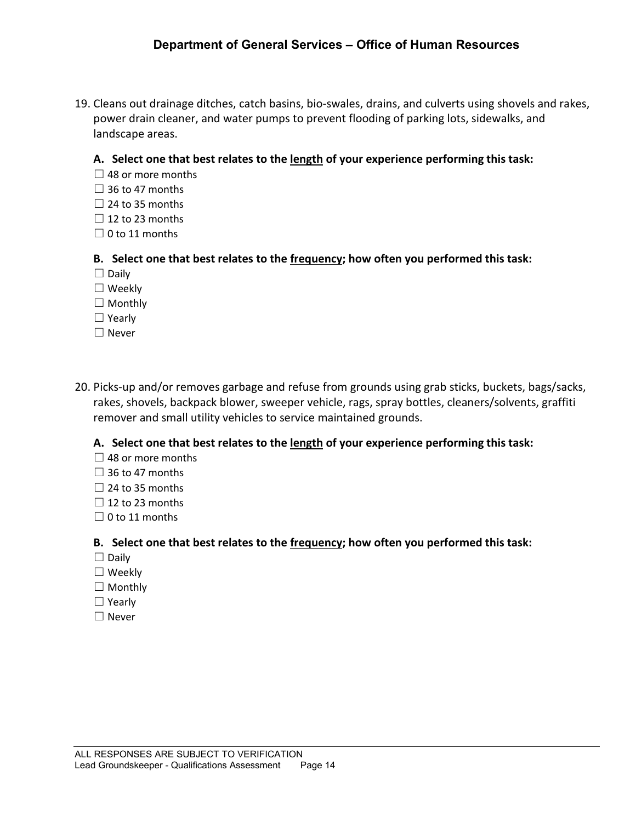19. Cleans out drainage ditches, catch basins, bio-swales, drains, and culverts using shovels and rakes, power drain cleaner, and water pumps to prevent flooding of parking lots, sidewalks, and landscape areas.

#### **A. Select one that best relates to the length of your experience performing this task:**

- $\Box$  48 or more months
- $\Box$  36 to 47 months
- $\Box$  24 to 35 months
- $\Box$  12 to 23 months
- $\Box$  0 to 11 months

#### **B. Select one that best relates to the frequency; how often you performed this task:**

- $\Box$  Daily
- ☐ Weekly
- $\Box$  Monthly
- ☐ Yearly
- ☐ Never
- 20. Picks-up and/or removes garbage and refuse from grounds using grab sticks, buckets, bags/sacks, rakes, shovels, backpack blower, sweeper vehicle, rags, spray bottles, cleaners/solvents, graffiti remover and small utility vehicles to service maintained grounds.

#### **A. Select one that best relates to the length of your experience performing this task:**

- $\Box$  48 or more months
- $\Box$  36 to 47 months
- $\Box$  24 to 35 months
- $\Box$  12 to 23 months
- $\Box$  0 to 11 months

- ☐ Daily
- ☐ Weekly
- □ Monthly
- ☐ Yearly
- ☐ Never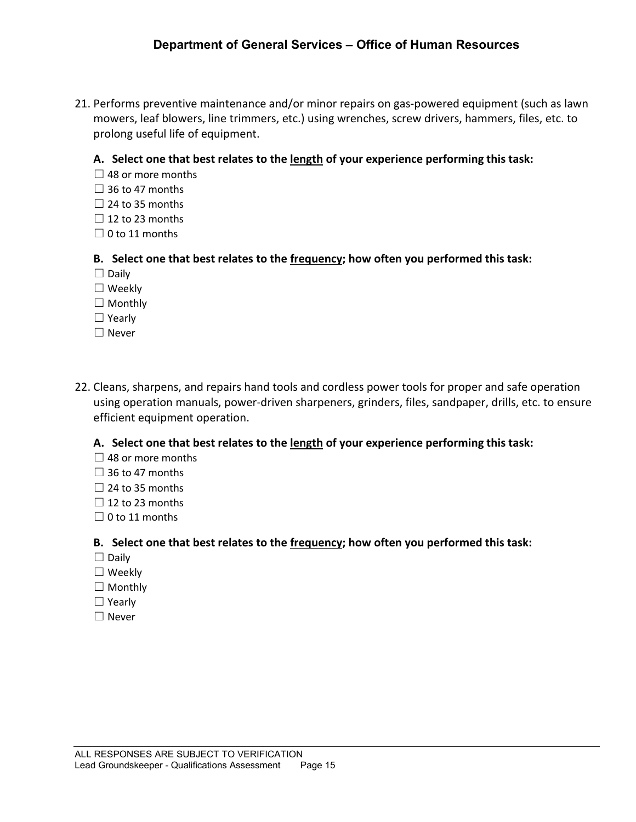21. Performs preventive maintenance and/or minor repairs on gas-powered equipment (such as lawn mowers, leaf blowers, line trimmers, etc.) using wrenches, screw drivers, hammers, files, etc. to prolong useful life of equipment.

#### **A. Select one that best relates to the length of your experience performing this task:**

- $\Box$  48 or more months
- $\Box$  36 to 47 months
- $\Box$  24 to 35 months
- $\Box$  12 to 23 months
- $\Box$  0 to 11 months

#### **B. Select one that best relates to the frequency; how often you performed this task:**

- $\Box$  Daily
- ☐ Weekly
- $\Box$  Monthly
- ☐ Yearly
- ☐ Never
- 22. Cleans, sharpens, and repairs hand tools and cordless power tools for proper and safe operation using operation manuals, power-driven sharpeners, grinders, files, sandpaper, drills, etc. to ensure efficient equipment operation.

#### **A. Select one that best relates to the length of your experience performing this task:**

- $\Box$  48 or more months
- $\Box$  36 to 47 months
- $\Box$  24 to 35 months
- $\Box$  12 to 23 months
- $\Box$  0 to 11 months

- ☐ Daily
- ☐ Weekly
- □ Monthly
- ☐ Yearly
- ☐ Never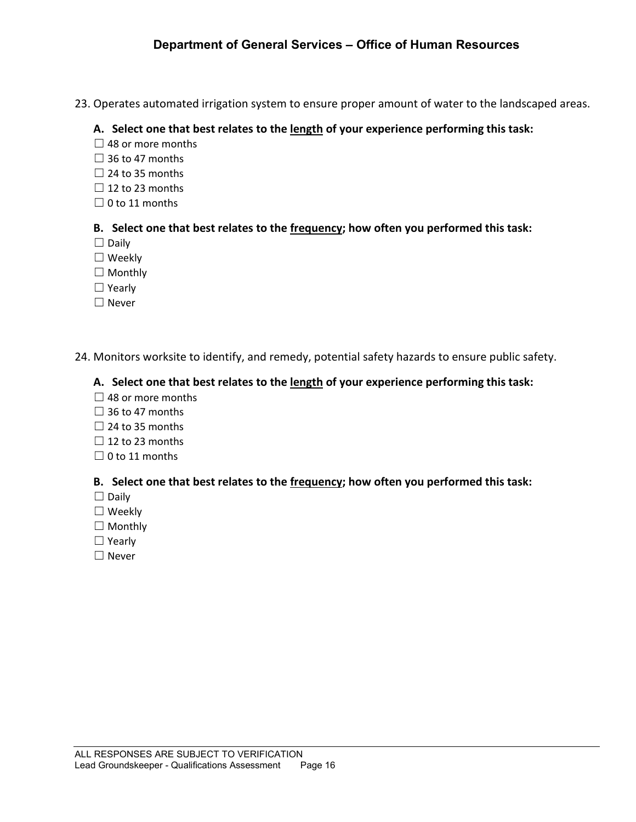23. Operates automated irrigation system to ensure proper amount of water to the landscaped areas.

#### **A. Select one that best relates to the length of your experience performing this task:**

- $\Box$  48 or more months
- $\Box$  36 to 47 months
- $\Box$  24 to 35 months
- $\Box$  12 to 23 months
- $\Box$  0 to 11 months

### **B. Select one that best relates to the frequency; how often you performed this task:**

- ☐ Daily
- ☐ Weekly
- ☐ Monthly
- ☐ Yearly
- ☐ Never
- 24. Monitors worksite to identify, and remedy, potential safety hazards to ensure public safety.

# **A. Select one that best relates to the length of your experience performing this task:**

- $\Box$  48 or more months
- $\Box$  36 to 47 months
- $\Box$  24 to 35 months
- $\Box$  12 to 23 months
- $\Box$  0 to 11 months

- ☐ Daily
- ☐ Weekly
- □ Monthly
- ☐ Yearly
- ☐ Never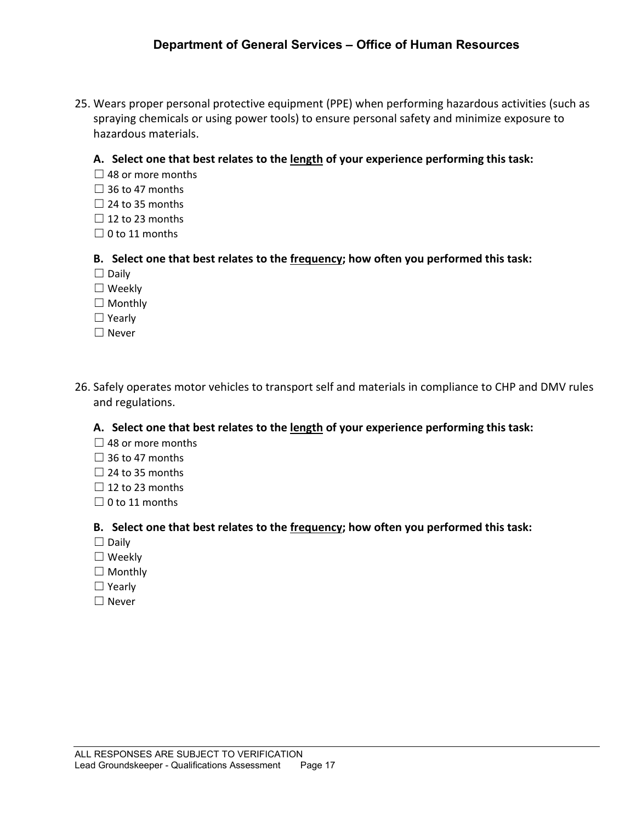25. Wears proper personal protective equipment (PPE) when performing hazardous activities (such as spraying chemicals or using power tools) to ensure personal safety and minimize exposure to hazardous materials.

#### **A. Select one that best relates to the length of your experience performing this task:**

- $\Box$  48 or more months
- $\Box$  36 to 47 months
- $\Box$  24 to 35 months
- $\Box$  12 to 23 months
- $\Box$  0 to 11 months

#### **B. Select one that best relates to the frequency; how often you performed this task:**

- $\Box$  Daily
- ☐ Weekly
- □ Monthly
- ☐ Yearly
- ☐ Never
- 26. Safely operates motor vehicles to transport self and materials in compliance to CHP and DMV rules and regulations.

#### **A. Select one that best relates to the length of your experience performing this task:**

- $\Box$  48 or more months
- $\Box$  36 to 47 months
- $\Box$  24 to 35 months
- $\Box$  12 to 23 months
- $\Box$  0 to 11 months

- $\Box$  Daily
- ☐ Weekly
- □ Monthly
- ☐ Yearly
- ☐ Never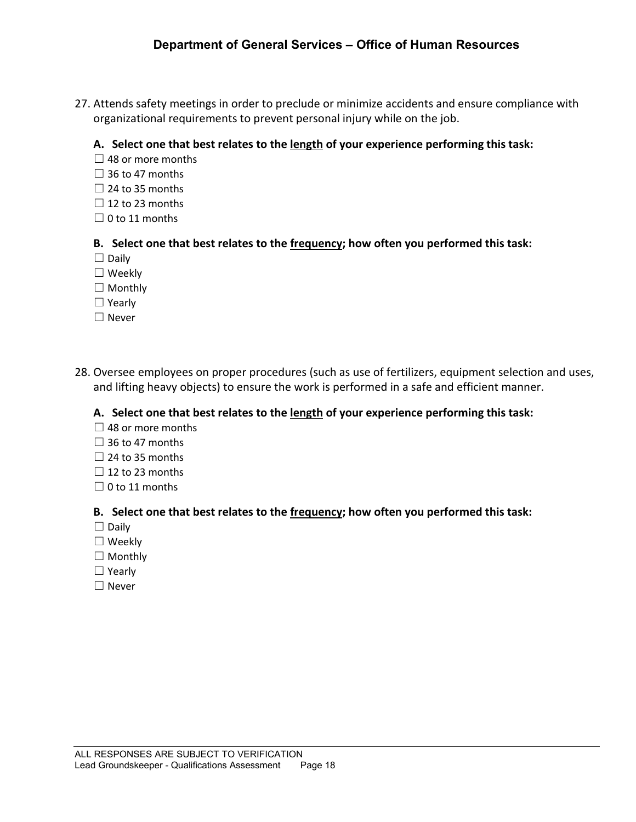27. Attends safety meetings in order to preclude or minimize accidents and ensure compliance with organizational requirements to prevent personal injury while on the job.

#### **A. Select one that best relates to the length of your experience performing this task:**

- $\Box$  48 or more months
- $\Box$  36 to 47 months
- $\Box$  24 to 35 months
- $\Box$  12 to 23 months
- $\Box$  0 to 11 months

#### **B. Select one that best relates to the frequency; how often you performed this task:**

- ☐ Daily
- ☐ Weekly
- □ Monthly
- ☐ Yearly
- ☐ Never
- 28. Oversee employees on proper procedures (such as use of fertilizers, equipment selection and uses, and lifting heavy objects) to ensure the work is performed in a safe and efficient manner.

#### **A. Select one that best relates to the length of your experience performing this task:**

- $\Box$  48 or more months
- $\Box$  36 to 47 months
- $\Box$  24 to 35 months
- $\Box$  12 to 23 months
- $\Box$  0 to 11 months

- ☐ Daily
- ☐ Weekly
- □ Monthly
- ☐ Yearly
- ☐ Never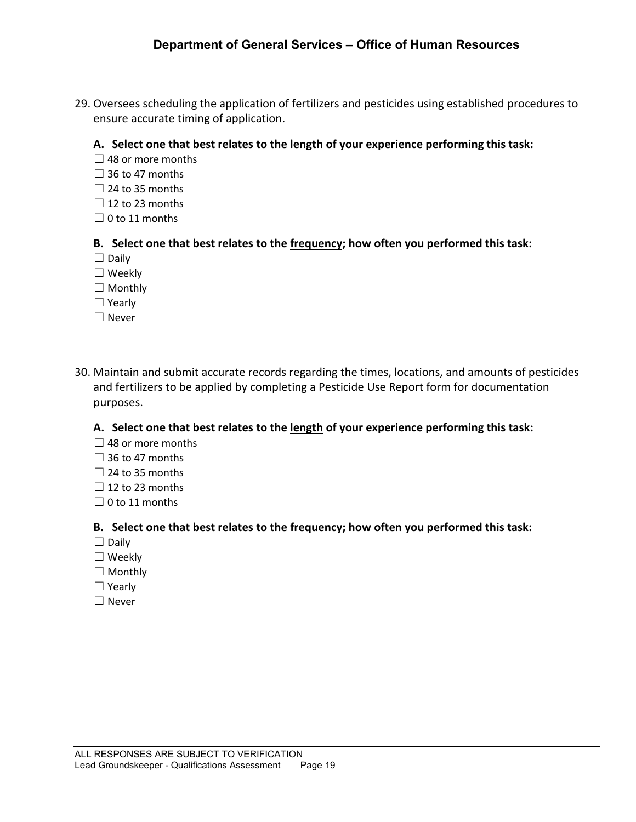29. Oversees scheduling the application of fertilizers and pesticides using established procedures to ensure accurate timing of application.

#### **A. Select one that best relates to the length of your experience performing this task:**

- $\Box$  48 or more months
- $\Box$  36 to 47 months
- $\Box$  24 to 35 months
- $\Box$  12 to 23 months
- $\Box$  0 to 11 months

#### **B. Select one that best relates to the frequency; how often you performed this task:**

- ☐ Daily
- ☐ Weekly
- □ Monthly
- ☐ Yearly
- ☐ Never
- 30. Maintain and submit accurate records regarding the times, locations, and amounts of pesticides and fertilizers to be applied by completing a Pesticide Use Report form for documentation purposes.

#### **A. Select one that best relates to the length of your experience performing this task:**

- $\Box$  48 or more months
- $\Box$  36 to 47 months
- $\Box$  24 to 35 months
- $\Box$  12 to 23 months
- $\Box$  0 to 11 months

- $\Box$  Daily
- ☐ Weekly
- □ Monthly
- ☐ Yearly
- ☐ Never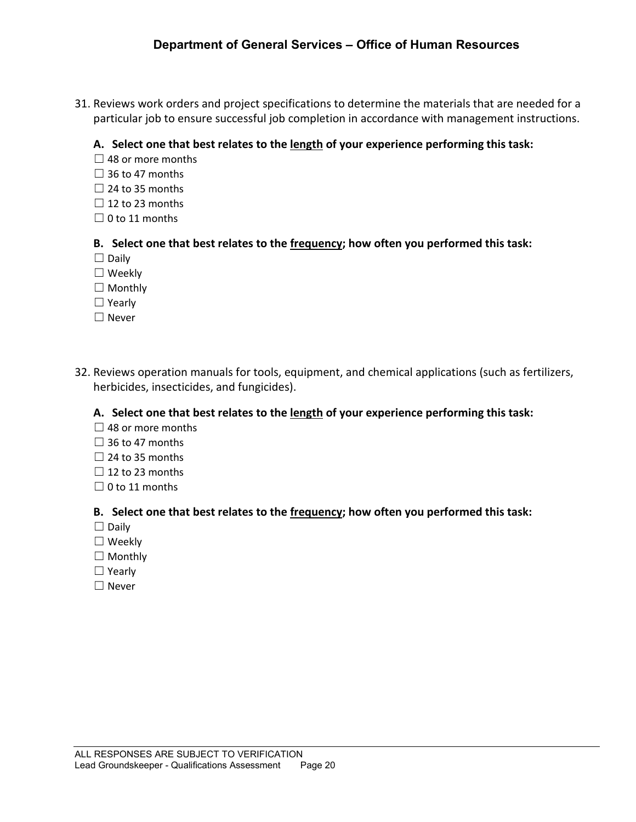31. Reviews work orders and project specifications to determine the materials that are needed for a particular job to ensure successful job completion in accordance with management instructions.

#### **A. Select one that best relates to the length of your experience performing this task:**

- $\Box$  48 or more months
- $\Box$  36 to 47 months
- $\Box$  24 to 35 months
- $\Box$  12 to 23 months
- $\Box$  0 to 11 months

#### **B. Select one that best relates to the frequency; how often you performed this task:**

- ☐ Daily
- ☐ Weekly
- □ Monthly
- ☐ Yearly
- ☐ Never
- 32. Reviews operation manuals for tools, equipment, and chemical applications (such as fertilizers, herbicides, insecticides, and fungicides).

#### **A. Select one that best relates to the length of your experience performing this task:**

- $\Box$  48 or more months
- $\Box$  36 to 47 months
- $\Box$  24 to 35 months
- $\Box$  12 to 23 months
- $\Box$  0 to 11 months

- ☐ Daily
- ☐ Weekly
- □ Monthly
- ☐ Yearly
- ☐ Never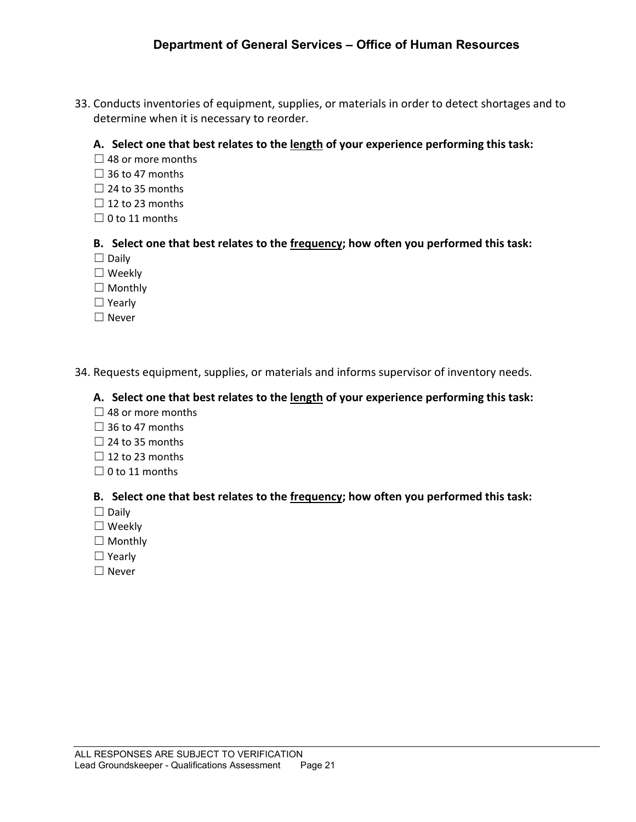33. Conducts inventories of equipment, supplies, or materials in order to detect shortages and to determine when it is necessary to reorder.

#### **A. Select one that best relates to the length of your experience performing this task:**

- $\Box$  48 or more months
- $\Box$  36 to 47 months
- $\Box$  24 to 35 months
- $\Box$  12 to 23 months
- $\Box$  0 to 11 months

#### **B. Select one that best relates to the frequency; how often you performed this task:**

- ☐ Daily
- ☐ Weekly
- □ Monthly
- ☐ Yearly
- ☐ Never

#### 34. Requests equipment, supplies, or materials and informs supervisor of inventory needs.

#### **A. Select one that best relates to the length of your experience performing this task:**

- $\Box$  48 or more months
- $\Box$  36 to 47 months
- $\Box$  24 to 35 months
- $\Box$  12 to 23 months
- $\Box$  0 to 11 months

- ☐ Daily
- ☐ Weekly
- ☐ Monthly
- ☐ Yearly
- ☐ Never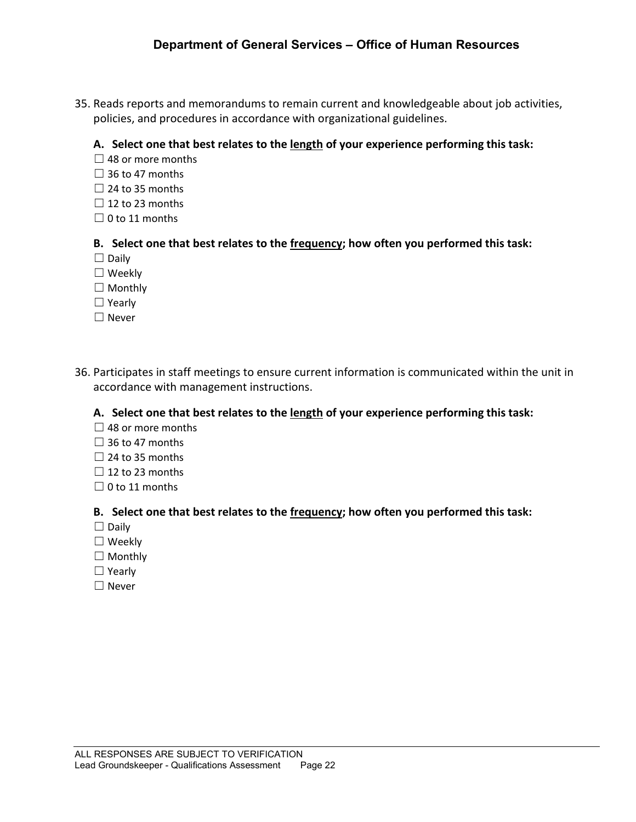35. Reads reports and memorandums to remain current and knowledgeable about job activities, policies, and procedures in accordance with organizational guidelines.

#### **A. Select one that best relates to the length of your experience performing this task:**

- $\Box$  48 or more months
- $\Box$  36 to 47 months
- $\Box$  24 to 35 months
- $\Box$  12 to 23 months
- $\Box$  0 to 11 months

#### **B. Select one that best relates to the frequency; how often you performed this task:**

- ☐ Daily
- ☐ Weekly
- □ Monthly
- ☐ Yearly
- ☐ Never
- 36. Participates in staff meetings to ensure current information is communicated within the unit in accordance with management instructions.

#### **A. Select one that best relates to the length of your experience performing this task:**

- $\Box$  48 or more months
- $\Box$  36 to 47 months
- $\Box$  24 to 35 months
- $\Box$  12 to 23 months
- $\Box$  0 to 11 months

- ☐ Daily
- ☐ Weekly
- □ Monthly
- ☐ Yearly
- ☐ Never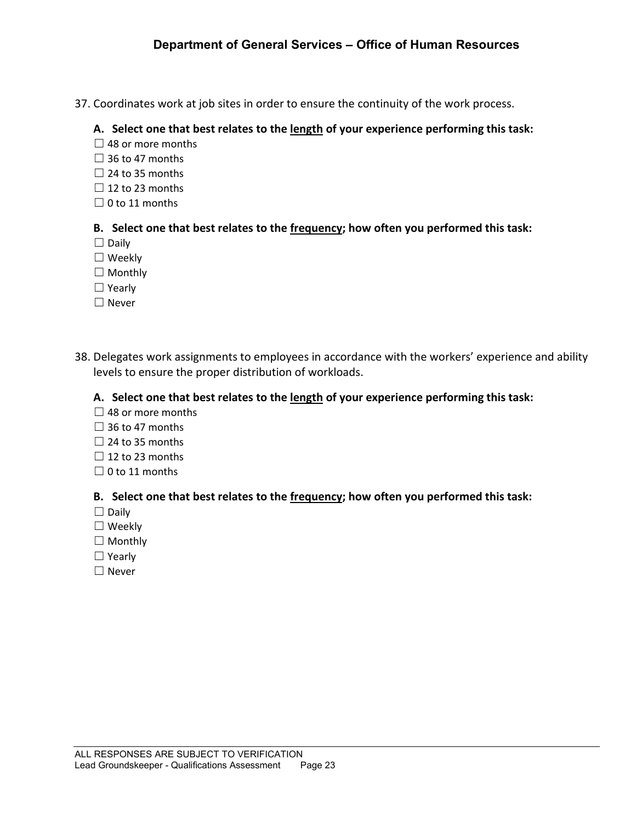37. Coordinates work at job sites in order to ensure the continuity of the work process.

#### **A. Select one that best relates to the length of your experience performing this task:**

- $\Box$  48 or more months
- $\Box$  36 to 47 months
- $\Box$  24 to 35 months
- $\Box$  12 to 23 months
- $\Box$  0 to 11 months

#### **B. Select one that best relates to the frequency; how often you performed this task:**

- ☐ Daily
- ☐ Weekly
- □ Monthly
- ☐ Yearly
- ☐ Never
- 38. Delegates work assignments to employees in accordance with the workers' experience and ability levels to ensure the proper distribution of workloads.

#### **A. Select one that best relates to the length of your experience performing this task:**

- $\Box$  48 or more months
- $\Box$  36 to 47 months
- $\Box$  24 to 35 months
- $\Box$  12 to 23 months
- $\Box$  0 to 11 months

- ☐ Daily
- ☐ Weekly
- □ Monthly
- ☐ Yearly
- ☐ Never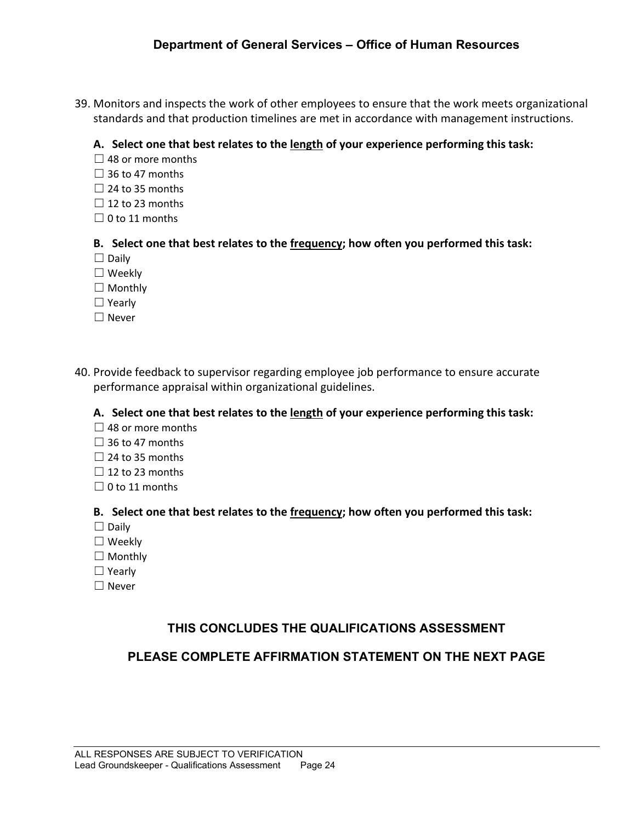39. Monitors and inspects the work of other employees to ensure that the work meets organizational standards and that production timelines are met in accordance with management instructions.

#### **A. Select one that best relates to the length of your experience performing this task:**

- $\Box$  48 or more months
- $\Box$  36 to 47 months
- $\Box$  24 to 35 months
- $\Box$  12 to 23 months
- $\Box$  0 to 11 months

#### **B. Select one that best relates to the frequency; how often you performed this task:**

- $\Box$  Daily
- ☐ Weekly
- □ Monthly
- ☐ Yearly
- ☐ Never
- 40. Provide feedback to supervisor regarding employee job performance to ensure accurate performance appraisal within organizational guidelines.

#### **A. Select one that best relates to the length of your experience performing this task:**

- $\Box$  48 or more months
- $\Box$  36 to 47 months
- $\Box$  24 to 35 months
- $\Box$  12 to 23 months
- $\Box$  0 to 11 months

#### **B. Select one that best relates to the frequency; how often you performed this task:**

- ☐ Daily
- ☐ Weekly
- □ Monthly
- ☐ Yearly
- ☐ Never

# **THIS CONCLUDES THE QUALIFICATIONS ASSESSMENT**

# **PLEASE COMPLETE AFFIRMATION STATEMENT ON THE NEXT PAGE**